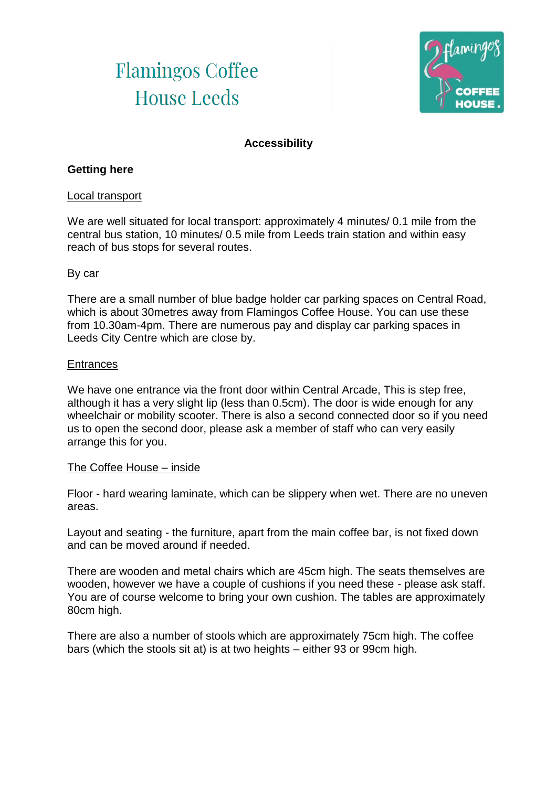# **Flamingos Coffee House Leeds**



# **Accessibility**

### **Getting here**

### Local transport

We are well situated for local transport: approximately 4 minutes/ 0.1 mile from the central bus station, 10 minutes/ 0.5 mile from Leeds train station and within easy reach of bus stops for several routes.

#### By car

There are a small number of blue badge holder car parking spaces on Central Road, which is about 30metres away from Flamingos Coffee House. You can use these from 10.30am-4pm. There are numerous pay and display car parking spaces in Leeds City Centre which are close by.

#### **Entrances**

We have one entrance via the front door within Central Arcade, This is step free, although it has a very slight lip (less than 0.5cm). The door is wide enough for any wheelchair or mobility scooter. There is also a second connected door so if you need us to open the second door, please ask a member of staff who can very easily arrange this for you.

### The Coffee House – inside

Floor - hard wearing laminate, which can be slippery when wet. There are no uneven areas.

Layout and seating - the furniture, apart from the main coffee bar, is not fixed down and can be moved around if needed.

There are wooden and metal chairs which are 45cm high. The seats themselves are wooden, however we have a couple of cushions if you need these - please ask staff. You are of course welcome to bring your own cushion. The tables are approximately 80cm high.

There are also a number of stools which are approximately 75cm high. The coffee bars (which the stools sit at) is at two heights – either 93 or 99cm high.